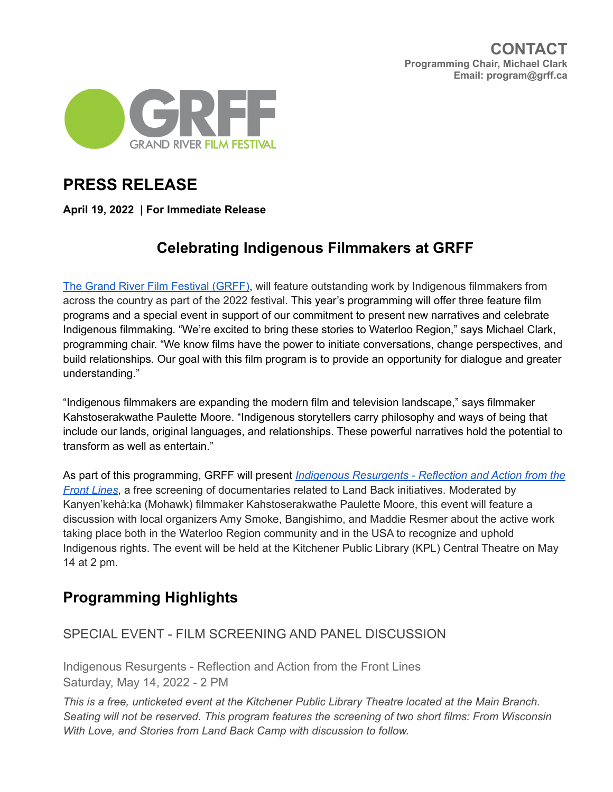

# **PRESS RELEASE**

**April 19, 2022 | For Immediate Release**

## **Celebrating Indigenous Filmmakers at GRFF**

The Grand River Film [Festival](https://grff.ca/) (GRFF), will feature outstanding work by Indigenous filmmakers from across the country as part of the 2022 festival. This year's programming will offer three feature film programs and a special event in support of our commitment to present new narratives and celebrate Indigenous filmmaking. "We're excited to bring these stories to Waterloo Region," says Michael Clark, programming chair. "We know films have the power to initiate conversations, change perspectives, and build relationships. Our goal with this film program is to provide an opportunity for dialogue and greater understanding."

"Indigenous filmmakers are expanding the modern film and television landscape," says filmmaker Kahstoserakwathe Paulette Moore. "Indigenous storytellers carry philosophy and ways of being that include our lands, original languages, and relationships. These powerful narratives hold the potential to transform as well as entertain."

As part of this programming, GRFF will present *Indigenous [Resurgents](https://grff.ca/special-indigenous-program/) - Reflection and Action from the Front [Lines](https://grff.ca/special-indigenous-program/)*, a free screening of documentaries related to Land Back initiatives. Moderated by Kanyen'kehà:ka (Mohawk) filmmaker Kahstoserakwathe Paulette Moore, this event will feature a discussion with local organizers Amy Smoke, Bangishimo, and Maddie Resmer about the active work taking place both in the Waterloo Region community and in the USA to recognize and uphold Indigenous rights. The event will be held at the Kitchener Public Library (KPL) Central Theatre on May 14 at 2 pm.

## **Programming Highlights**

### SPECIAL EVENT - FILM SCREENING AND PANEL DISCUSSION

Indigenous Resurgents - Reflection and Action from the Front Lines Saturday, May 14, 2022 - 2 PM

*This is a free, unticketed event at the Kitchener Public Library Theatre located at the Main Branch. Seating will not be reserved. This program features the screening of two short films: From Wisconsin With Love, and Stories from Land Back Camp with discussion to follow.*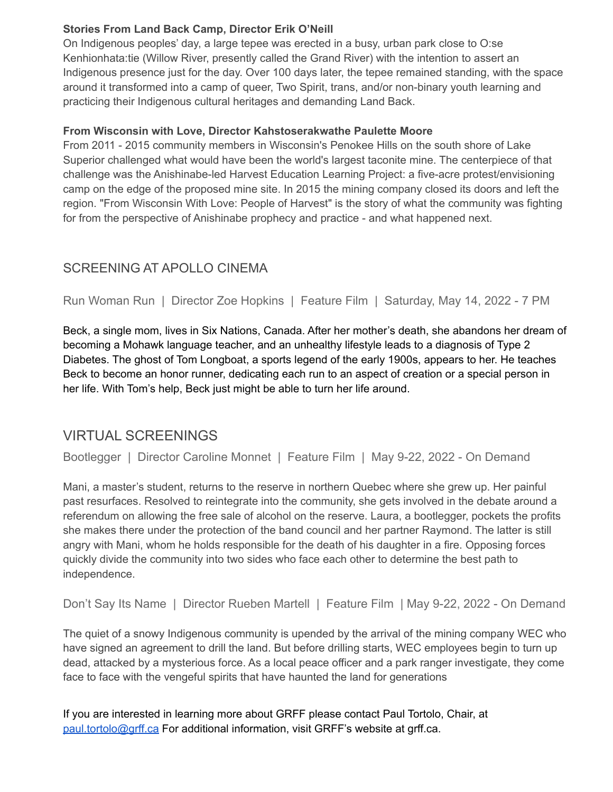### **Stories From Land Back Camp, Director Erik O'Neill**

On Indigenous peoples' day, a large tepee was erected in a busy, urban park close to O:se Kenhionhata:tie (Willow River, presently called the Grand River) with the intention to assert an Indigenous presence just for the day. Over 100 days later, the tepee remained standing, with the space around it transformed into a camp of queer, Two Spirit, trans, and/or non-binary youth learning and practicing their Indigenous cultural heritages and demanding Land Back.

### **From Wisconsin with Love, Director Kahstoserakwathe Paulette Moore**

From 2011 - 2015 community members in Wisconsin's Penokee Hills on the south shore of Lake Superior challenged what would have been the world's largest taconite mine. The centerpiece of that challenge was the Anishinabe-led Harvest Education Learning Project: a five-acre protest/envisioning camp on the edge of the proposed mine site. In 2015 the mining company closed its doors and left the region. "From Wisconsin With Love: People of Harvest" is the story of what the community was fighting for from the perspective of Anishinabe prophecy and practice - and what happened next.

### SCREENING AT APOLLO CINEMA

Run Woman Run | Director Zoe Hopkins | Feature Film | Saturday, May 14, 2022 - 7 PM

Beck, a single mom, lives in Six Nations, Canada. After her mother's death, she abandons her dream of becoming a Mohawk language teacher, and an unhealthy lifestyle leads to a diagnosis of Type 2 Diabetes. The ghost of Tom Longboat, a sports legend of the early 1900s, appears to her. He teaches Beck to become an honor runner, dedicating each run to an aspect of creation or a special person in her life. With Tom's help, Beck just might be able to turn her life around.

## VIRTUAL SCREENINGS

Bootlegger | Director Caroline Monnet | Feature Film | May 9-22, 2022 - On Demand

Mani, a master's student, returns to the reserve in northern Quebec where she grew up. Her painful past resurfaces. Resolved to reintegrate into the community, she gets involved in the debate around a referendum on allowing the free sale of alcohol on the reserve. Laura, a bootlegger, pockets the profits she makes there under the protection of the band council and her partner Raymond. The latter is still angry with Mani, whom he holds responsible for the death of his daughter in a fire. Opposing forces quickly divide the community into two sides who face each other to determine the best path to independence.

Don't Say Its Name | Director Rueben Martell | Feature Film | May 9-22, 2022 - On Demand

The quiet of a snowy Indigenous community is upended by the arrival of the mining company WEC who have signed an agreement to drill the land. But before drilling starts, WEC employees begin to turn up dead, attacked by a mysterious force. As a local peace officer and a park ranger investigate, they come face to face with the vengeful spirits that have haunted the land for generations

If you are interested in learning more about GRFF please contact Paul Tortolo, Chair, at [paul.tortolo@grff.ca](mailto:paul.tortolo@grff.ca) For additional information, visit GRFF's website at grff.ca.